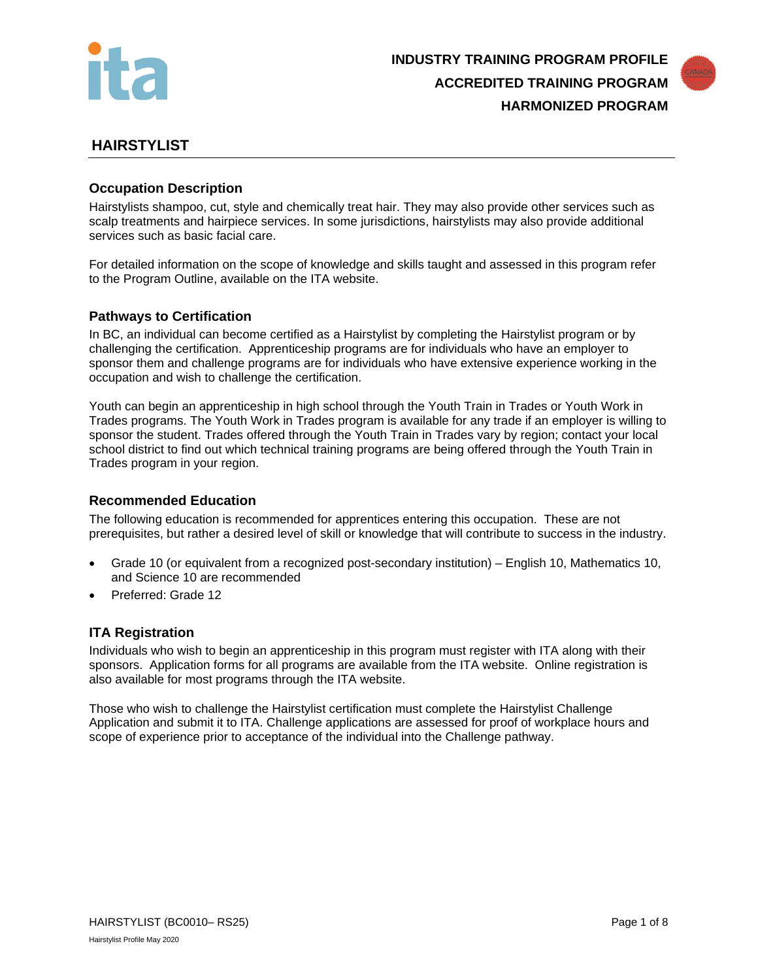



# **HAIRSTYLIST**

## **Occupation Description**

Hairstylists shampoo, cut, style and chemically treat hair. They may also provide other services such as scalp treatments and hairpiece services. In some jurisdictions, hairstylists may also provide additional services such as basic facial care.

For detailed information on the scope of knowledge and skills taught and assessed in this program refer to the Program Outline, available on the ITA website.

## **Pathways to Certification**

In BC, an individual can become certified as a Hairstylist by completing the Hairstylist program or by challenging the certification. Apprenticeship programs are for individuals who have an employer to sponsor them and challenge programs are for individuals who have extensive experience working in the occupation and wish to challenge the certification.

Youth can begin an apprenticeship in high school through the Youth Train in Trades or Youth Work in Trades programs. The Youth Work in Trades program is available for any trade if an employer is willing to sponsor the student. Trades offered through the Youth Train in Trades vary by region; contact your local school district to find out which technical training programs are being offered through the Youth Train in Trades program in your region.

### **Recommended Education**

The following education is recommended for apprentices entering this occupation. These are not prerequisites, but rather a desired level of skill or knowledge that will contribute to success in the industry.

- Grade 10 (or equivalent from a recognized post-secondary institution) English 10, Mathematics 10, and Science 10 are recommended
- Preferred: Grade 12

### **ITA Registration**

Individuals who wish to begin an apprenticeship in this program must register with ITA along with their sponsors. Application forms for all programs are available from the ITA website. Online registration is also available for most programs through the ITA website.

Those who wish to challenge the Hairstylist certification must complete the Hairstylist Challenge Application and submit it to ITA. Challenge applications are assessed for proof of workplace hours and scope of experience prior to acceptance of the individual into the Challenge pathway.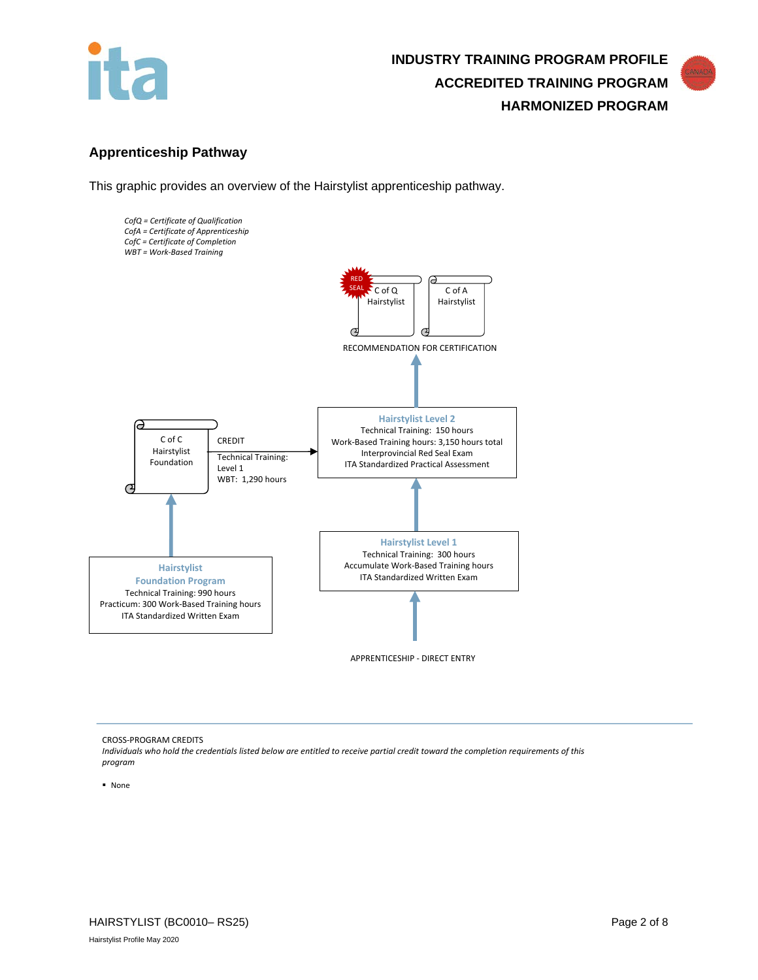



## **Apprenticeship Pathway**

This graphic provides an overview of the Hairstylist apprenticeship pathway.



APPRENTICESHIP - DIRECT ENTRY

CROSS-PROGRAM CREDITS

*Individuals who hold the credentials listed below are entitled to receive partial credit toward the completion requirements of this program*

None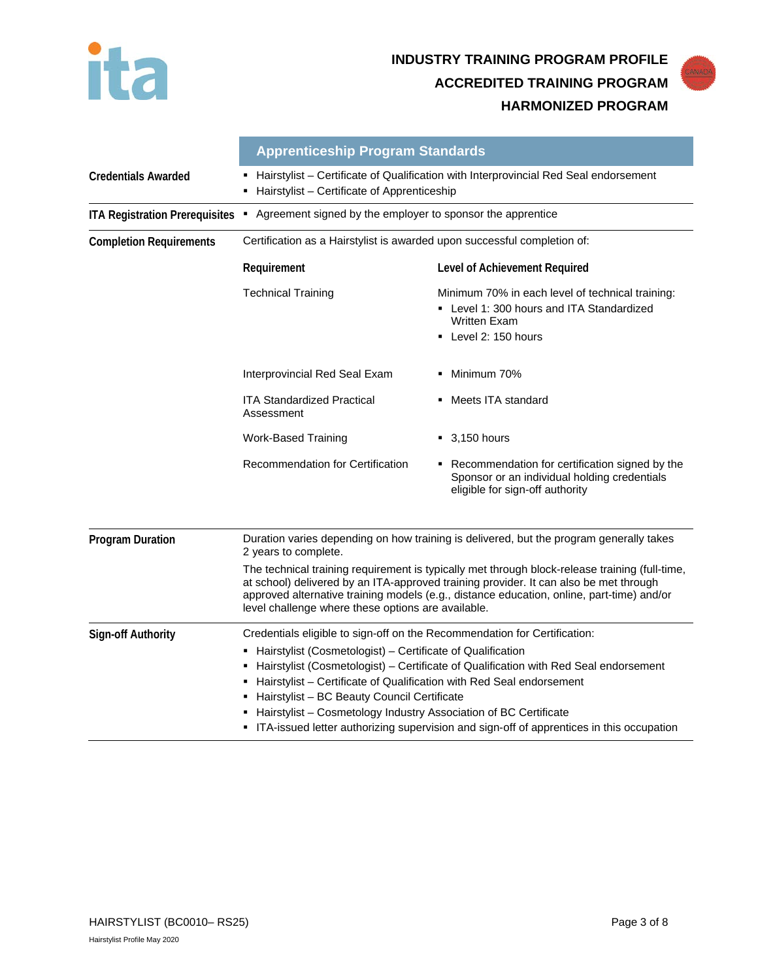

|                                       | <b>Apprenticeship Program Standards</b>                                                                                                                                                                                                                                                                                                                                                                                                                                                                                         |                                                                                                                                              |  |  |
|---------------------------------------|---------------------------------------------------------------------------------------------------------------------------------------------------------------------------------------------------------------------------------------------------------------------------------------------------------------------------------------------------------------------------------------------------------------------------------------------------------------------------------------------------------------------------------|----------------------------------------------------------------------------------------------------------------------------------------------|--|--|
| <b>Credentials Awarded</b>            | Hairstylist - Certificate of Qualification with Interprovincial Red Seal endorsement<br>Hairstylist - Certificate of Apprenticeship                                                                                                                                                                                                                                                                                                                                                                                             |                                                                                                                                              |  |  |
| <b>ITA Registration Prerequisites</b> | • Agreement signed by the employer to sponsor the apprentice                                                                                                                                                                                                                                                                                                                                                                                                                                                                    |                                                                                                                                              |  |  |
| <b>Completion Requirements</b>        | Certification as a Hairstylist is awarded upon successful completion of:                                                                                                                                                                                                                                                                                                                                                                                                                                                        |                                                                                                                                              |  |  |
|                                       | Requirement                                                                                                                                                                                                                                                                                                                                                                                                                                                                                                                     | Level of Achievement Required                                                                                                                |  |  |
|                                       | <b>Technical Training</b>                                                                                                                                                                                                                                                                                                                                                                                                                                                                                                       | Minimum 70% in each level of technical training:<br>• Level 1: 300 hours and ITA Standardized<br><b>Written Exam</b><br>• Level 2: 150 hours |  |  |
|                                       | Interprovincial Red Seal Exam                                                                                                                                                                                                                                                                                                                                                                                                                                                                                                   | Minimum 70%                                                                                                                                  |  |  |
|                                       | <b>ITA Standardized Practical</b><br>Assessment                                                                                                                                                                                                                                                                                                                                                                                                                                                                                 | Meets ITA standard                                                                                                                           |  |  |
|                                       | <b>Work-Based Training</b>                                                                                                                                                                                                                                                                                                                                                                                                                                                                                                      | $-3,150$ hours                                                                                                                               |  |  |
|                                       | Recommendation for Certification                                                                                                                                                                                                                                                                                                                                                                                                                                                                                                | • Recommendation for certification signed by the<br>Sponsor or an individual holding credentials<br>eligible for sign-off authority          |  |  |
| <b>Program Duration</b>               | Duration varies depending on how training is delivered, but the program generally takes<br>2 years to complete.<br>The technical training requirement is typically met through block-release training (full-time,<br>at school) delivered by an ITA-approved training provider. It can also be met through<br>approved alternative training models (e.g., distance education, online, part-time) and/or<br>level challenge where these options are available.                                                                   |                                                                                                                                              |  |  |
|                                       |                                                                                                                                                                                                                                                                                                                                                                                                                                                                                                                                 |                                                                                                                                              |  |  |
| <b>Sign-off Authority</b>             | Credentials eligible to sign-off on the Recommendation for Certification:<br>• Hairstylist (Cosmetologist) - Certificate of Qualification<br>Hairstylist (Cosmetologist) - Certificate of Qualification with Red Seal endorsement<br>٠<br>Hairstylist - Certificate of Qualification with Red Seal endorsement<br>Hairstylist - BC Beauty Council Certificate<br>Hairstylist - Cosmetology Industry Association of BC Certificate<br>• ITA-issued letter authorizing supervision and sign-off of apprentices in this occupation |                                                                                                                                              |  |  |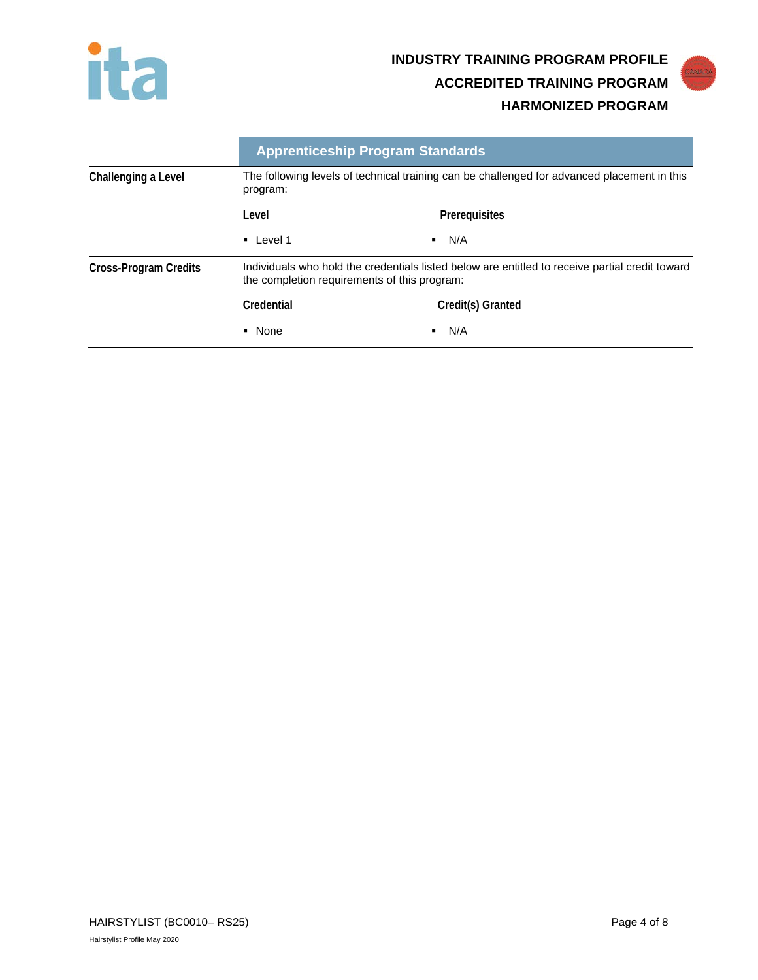



|                       |                                                                                                                                                 | <b>Apprenticeship Program Standards</b>                                                     |  |
|-----------------------|-------------------------------------------------------------------------------------------------------------------------------------------------|---------------------------------------------------------------------------------------------|--|
| Challenging a Level   | program:                                                                                                                                        | The following levels of technical training can be challenged for advanced placement in this |  |
|                       | Level                                                                                                                                           | Prerequisites                                                                               |  |
|                       | $\blacksquare$ Level 1                                                                                                                          | N/A<br>٠                                                                                    |  |
| Cross-Program Credits | Individuals who hold the credentials listed below are entitled to receive partial credit toward<br>the completion requirements of this program: |                                                                                             |  |
|                       | Credential                                                                                                                                      | Credit(s) Granted                                                                           |  |
|                       | • None                                                                                                                                          | N/A<br>٠                                                                                    |  |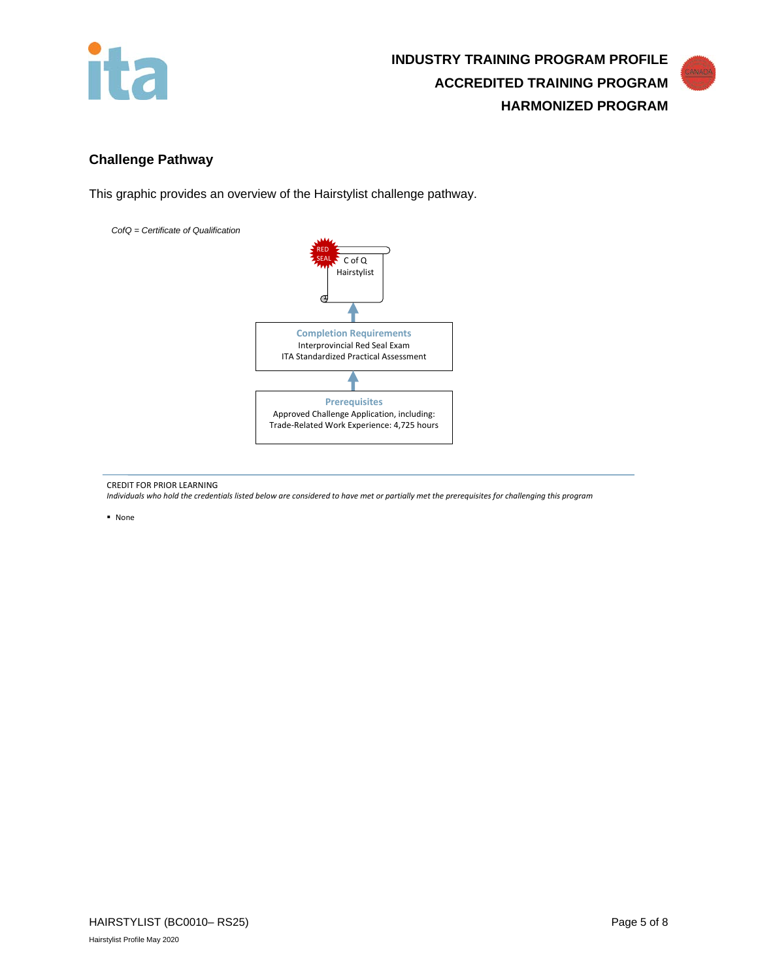



# **Challenge Pathway**

This graphic provides an overview of the Hairstylist challenge pathway.

*CofQ = Certificate of Qualification* 



CREDIT FOR PRIOR LEARNING

*Individuals who hold the credentials listed below are considered to have met or partially met the prerequisites for challenging this program*

None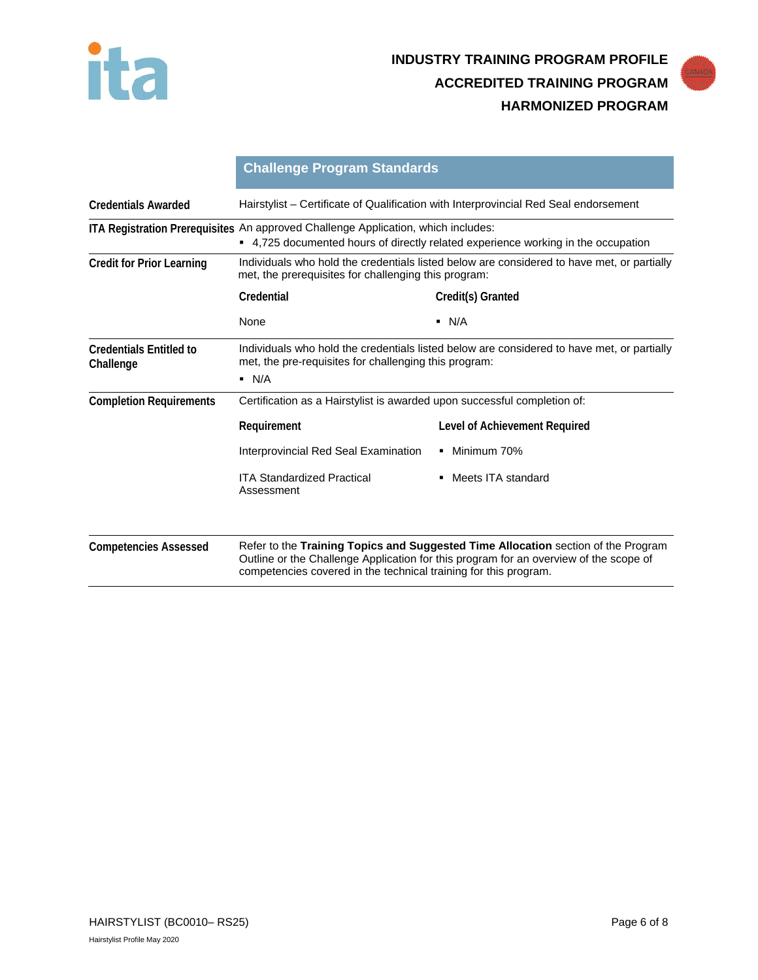



|                                             | <b>Challenge Program Standards</b>                                                                                                                                        |                                                                                                                                                                            |  |  |
|---------------------------------------------|---------------------------------------------------------------------------------------------------------------------------------------------------------------------------|----------------------------------------------------------------------------------------------------------------------------------------------------------------------------|--|--|
| <b>Credentials Awarded</b>                  | Hairstylist – Certificate of Qualification with Interprovincial Red Seal endorsement                                                                                      |                                                                                                                                                                            |  |  |
|                                             | ITA Registration Prerequisites An approved Challenge Application, which includes:<br>• 4,725 documented hours of directly related experience working in the occupation    |                                                                                                                                                                            |  |  |
| <b>Credit for Prior Learning</b>            | Individuals who hold the credentials listed below are considered to have met, or partially<br>met, the prerequisites for challenging this program:                        |                                                                                                                                                                            |  |  |
|                                             | Credential                                                                                                                                                                | Credit(s) Granted                                                                                                                                                          |  |  |
|                                             | None                                                                                                                                                                      | $\blacksquare$ N/A                                                                                                                                                         |  |  |
| <b>Credentials Entitled to</b><br>Challenge | Individuals who hold the credentials listed below are considered to have met, or partially<br>met, the pre-requisites for challenging this program:<br>$\blacksquare$ N/A |                                                                                                                                                                            |  |  |
| <b>Completion Requirements</b>              | Certification as a Hairstylist is awarded upon successful completion of:                                                                                                  |                                                                                                                                                                            |  |  |
|                                             | Requirement                                                                                                                                                               | Level of Achievement Required                                                                                                                                              |  |  |
|                                             | Interprovincial Red Seal Examination                                                                                                                                      | • Minimum 70%                                                                                                                                                              |  |  |
|                                             | <b>ITA Standardized Practical</b><br>Assessment                                                                                                                           | Meets ITA standard<br>$\blacksquare$                                                                                                                                       |  |  |
| <b>Competencies Assessed</b>                | competencies covered in the technical training for this program.                                                                                                          | Refer to the Training Topics and Suggested Time Allocation section of the Program<br>Outline or the Challenge Application for this program for an overview of the scope of |  |  |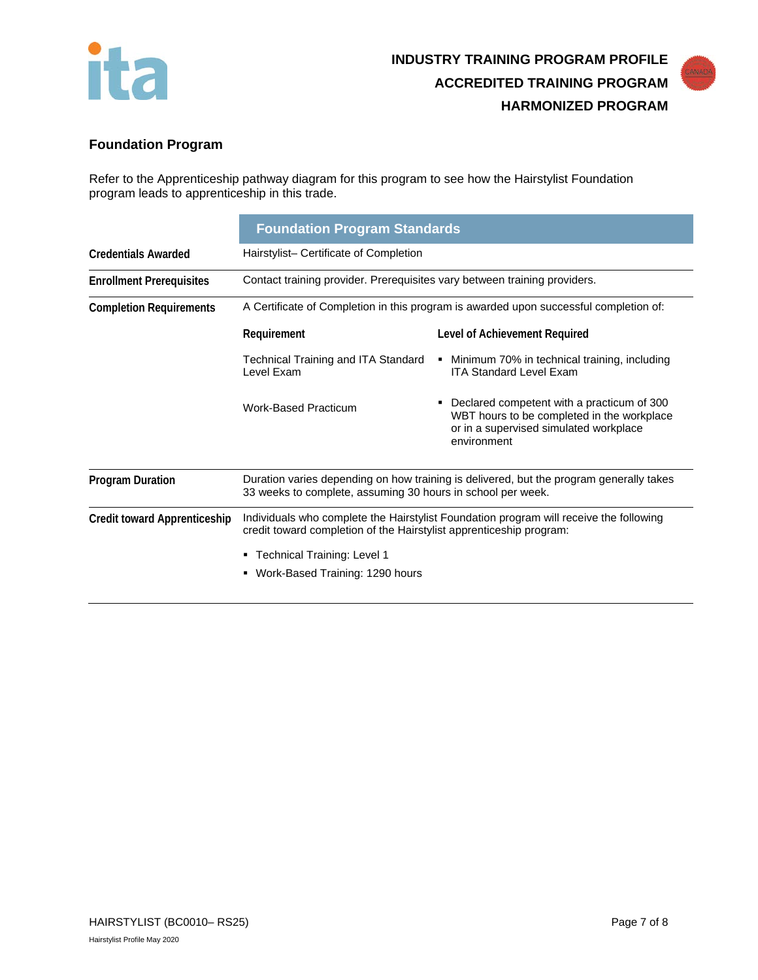



# **Foundation Program**

Refer to the Apprenticeship pathway diagram for this program to see how the Hairstylist Foundation program leads to apprenticeship in this trade.

|                                     | <b>Foundation Program Standards</b>                                                                                                                                                                                                              |                                                                                                                                                        |  |  |
|-------------------------------------|--------------------------------------------------------------------------------------------------------------------------------------------------------------------------------------------------------------------------------------------------|--------------------------------------------------------------------------------------------------------------------------------------------------------|--|--|
| <b>Credentials Awarded</b>          | Hairstylist- Certificate of Completion                                                                                                                                                                                                           |                                                                                                                                                        |  |  |
| <b>Enrollment Prerequisites</b>     | Contact training provider. Prerequisites vary between training providers.                                                                                                                                                                        |                                                                                                                                                        |  |  |
| <b>Completion Requirements</b>      | A Certificate of Completion in this program is awarded upon successful completion of:                                                                                                                                                            |                                                                                                                                                        |  |  |
|                                     | Requirement                                                                                                                                                                                                                                      | Level of Achievement Required                                                                                                                          |  |  |
|                                     | Technical Training and ITA Standard<br>Level Exam                                                                                                                                                                                                | Minimum 70% in technical training, including<br>٠<br><b>ITA Standard Level Exam</b>                                                                    |  |  |
|                                     | <b>Work-Based Practicum</b>                                                                                                                                                                                                                      | Declared competent with a practicum of 300<br>Е<br>WBT hours to be completed in the workplace<br>or in a supervised simulated workplace<br>environment |  |  |
| <b>Program Duration</b>             | Duration varies depending on how training is delivered, but the program generally takes<br>33 weeks to complete, assuming 30 hours in school per week.                                                                                           |                                                                                                                                                        |  |  |
| <b>Credit toward Apprenticeship</b> | Individuals who complete the Hairstylist Foundation program will receive the following<br>credit toward completion of the Hairstylist apprenticeship program:<br><b>Technical Training: Level 1</b><br>٠<br>Work-Based Training: 1290 hours<br>٠ |                                                                                                                                                        |  |  |